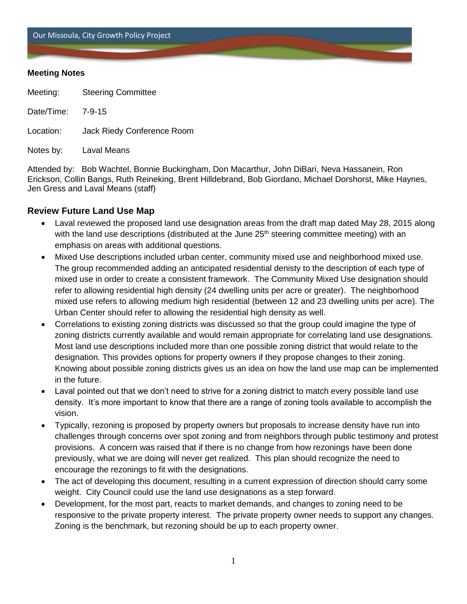Our Missoula, City Growth Policy Project

### **Meeting Notes**

Meeting: Steering Committee

Date/Time: 7-9-15

Location: Jack Riedy Conference Room

Notes by: Laval Means

Attended by: Bob Wachtel, Bonnie Buckingham, Don Macarthur, John DiBari, Neva Hassanein, Ron Erickson, Collin Bangs, Ruth Reineking, Brent Hilldebrand, Bob Giordano, Michael Dorshorst, Mike Haynes, Jen Gress and Laval Means (staff)

# **Review Future Land Use Map**

- Laval reviewed the proposed land use designation areas from the draft map dated May 28, 2015 along with the land use descriptions (distributed at the June 25<sup>th</sup> steering committee meeting) with an emphasis on areas with additional questions.
- Mixed Use descriptions included urban center, community mixed use and neighborhood mixed use. The group recommended adding an anticipated residential denisty to the description of each type of mixed use in order to create a consistent framework. The Community Mixed Use designation should refer to allowing residential high density (24 dwelling units per acre or greater). The neighborhood mixed use refers to allowing medium high residential (between 12 and 23 dwelling units per acre). The Urban Center should refer to allowing the residential high density as well.
- Correlations to existing zoning districts was discussed so that the group could imagine the type of zoning districts currently available and would remain appropriate for correlating land use designations. Most land use descriptions included more than one possible zoning district that would relate to the designation. This provides options for property owners if they propose changes to their zoning. Knowing about possible zoning districts gives us an idea on how the land use map can be implemented in the future.
- Laval pointed out that we don't need to strive for a zoning district to match every possible land use density. It's more important to know that there are a range of zoning tools available to accomplish the vision.
- Typically, rezoning is proposed by property owners but proposals to increase density have run into challenges through concerns over spot zoning and from neighbors through public testimony and protest provisions. A concern was raised that if there is no change from how rezonings have been done previously, what we are doing will never get realized. This plan should recognize the need to encourage the rezonings to fit with the designations.
- The act of developing this document, resulting in a current expression of direction should carry some weight. City Council could use the land use designations as a step forward.
- Development, for the most part, reacts to market demands, and changes to zoning need to be responsive to the private property interest. The private property owner needs to support any changes. Zoning is the benchmark, but rezoning should be up to each property owner.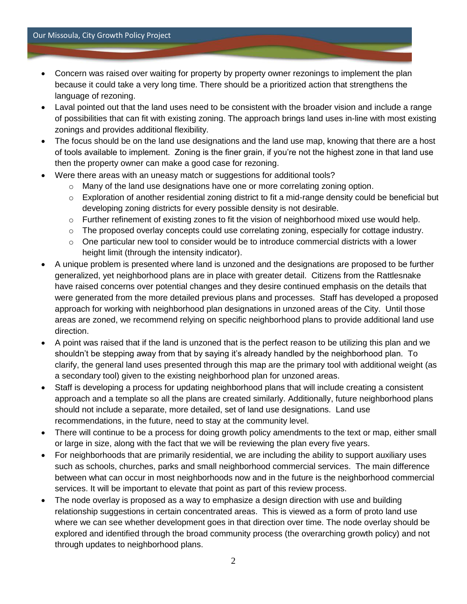- Concern was raised over waiting for property by property owner rezonings to implement the plan because it could take a very long time. There should be a prioritized action that strengthens the language of rezoning.
- Laval pointed out that the land uses need to be consistent with the broader vision and include a range of possibilities that can fit with existing zoning. The approach brings land uses in-line with most existing zonings and provides additional flexibility.
- The focus should be on the land use designations and the land use map, knowing that there are a host of tools available to implement. Zoning is the finer grain, if you're not the highest zone in that land use then the property owner can make a good case for rezoning.
- Were there areas with an uneasy match or suggestions for additional tools?
	- $\circ$  Many of the land use designations have one or more correlating zoning option.
	- o Exploration of another residential zoning district to fit a mid-range density could be beneficial but developing zoning districts for every possible density is not desirable.
	- $\circ$  Further refinement of existing zones to fit the vision of neighborhood mixed use would help.
	- o The proposed overlay concepts could use correlating zoning, especially for cottage industry.
	- $\circ$  One particular new tool to consider would be to introduce commercial districts with a lower height limit (through the intensity indicator).
- A unique problem is presented where land is unzoned and the designations are proposed to be further generalized, yet neighborhood plans are in place with greater detail. Citizens from the Rattlesnake have raised concerns over potential changes and they desire continued emphasis on the details that were generated from the more detailed previous plans and processes. Staff has developed a proposed approach for working with neighborhood plan designations in unzoned areas of the City. Until those areas are zoned, we recommend relying on specific neighborhood plans to provide additional land use direction.
- A point was raised that if the land is unzoned that is the perfect reason to be utilizing this plan and we shouldn't be stepping away from that by saying it's already handled by the neighborhood plan. To clarify, the general land uses presented through this map are the primary tool with additional weight (as a secondary tool) given to the existing neighborhood plan for unzoned areas.
- Staff is developing a process for updating neighborhood plans that will include creating a consistent approach and a template so all the plans are created similarly. Additionally, future neighborhood plans should not include a separate, more detailed, set of land use designations. Land use recommendations, in the future, need to stay at the community level.
- There will continue to be a process for doing growth policy amendments to the text or map, either small or large in size, along with the fact that we will be reviewing the plan every five years.
- For neighborhoods that are primarily residential, we are including the ability to support auxiliary uses such as schools, churches, parks and small neighborhood commercial services. The main difference between what can occur in most neighborhoods now and in the future is the neighborhood commercial services. It will be important to elevate that point as part of this review process.
- The node overlay is proposed as a way to emphasize a design direction with use and building relationship suggestions in certain concentrated areas. This is viewed as a form of proto land use where we can see whether development goes in that direction over time. The node overlay should be explored and identified through the broad community process (the overarching growth policy) and not through updates to neighborhood plans.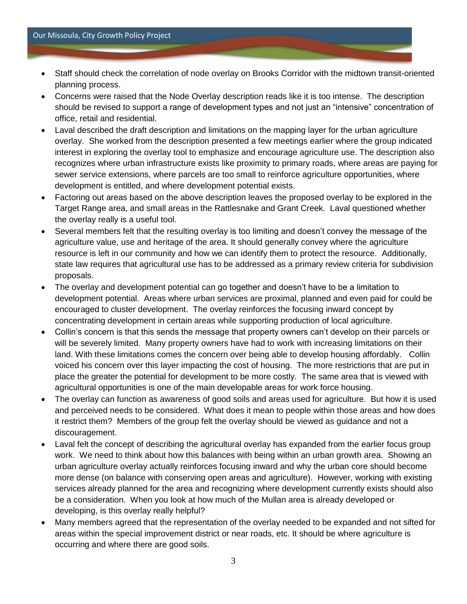- Staff should check the correlation of node overlay on Brooks Corridor with the midtown transit-oriented planning process.
- Concerns were raised that the Node Overlay description reads like it is too intense. The description should be revised to support a range of development types and not just an "intensive" concentration of office, retail and residential.
- Laval described the draft description and limitations on the mapping layer for the urban agriculture overlay. She worked from the description presented a few meetings earlier where the group indicated interest in exploring the overlay tool to emphasize and encourage agriculture use. The description also recognizes where urban infrastructure exists like proximity to primary roads, where areas are paying for sewer service extensions, where parcels are too small to reinforce agriculture opportunities, where development is entitled, and where development potential exists.
- Factoring out areas based on the above description leaves the proposed overlay to be explored in the Target Range area, and small areas in the Rattlesnake and Grant Creek. Laval questioned whether the overlay really is a useful tool.
- Several members felt that the resulting overlay is too limiting and doesn't convey the message of the agriculture value, use and heritage of the area. It should generally convey where the agriculture resource is left in our community and how we can identify them to protect the resource. Additionally, state law requires that agricultural use has to be addressed as a primary review criteria for subdivision proposals.
- The overlay and development potential can go together and doesn't have to be a limitation to development potential. Areas where urban services are proximal, planned and even paid for could be encouraged to cluster development. The overlay reinforces the focusing inward concept by concentrating development in certain areas while supporting production of local agriculture.
- Collin's concern is that this sends the message that property owners can't develop on their parcels or will be severely limited. Many property owners have had to work with increasing limitations on their land. With these limitations comes the concern over being able to develop housing affordably. Collin voiced his concern over this layer impacting the cost of housing. The more restrictions that are put in place the greater the potential for development to be more costly. The same area that is viewed with agricultural opportunities is one of the main developable areas for work force housing.
- The overlay can function as awareness of good soils and areas used for agriculture. But how it is used and perceived needs to be considered. What does it mean to people within those areas and how does it restrict them? Members of the group felt the overlay should be viewed as guidance and not a discouragement.
- Laval felt the concept of describing the agricultural overlay has expanded from the earlier focus group work. We need to think about how this balances with being within an urban growth area. Showing an urban agriculture overlay actually reinforces focusing inward and why the urban core should become more dense (on balance with conserving open areas and agriculture). However, working with existing services already planned for the area and recognizing where development currently exists should also be a consideration. When you look at how much of the Mullan area is already developed or developing, is this overlay really helpful?
- Many members agreed that the representation of the overlay needed to be expanded and not sifted for areas within the special improvement district or near roads, etc. It should be where agriculture is occurring and where there are good soils.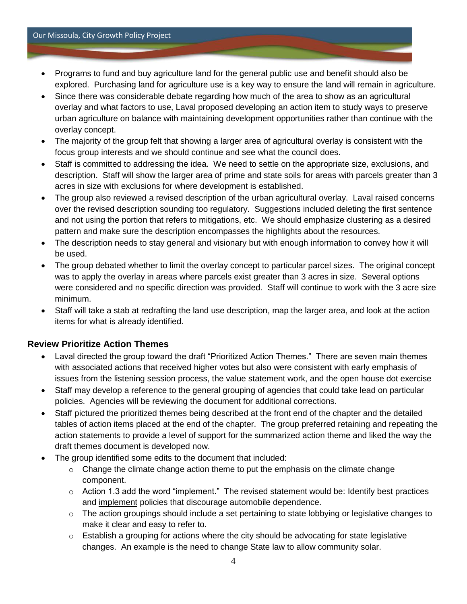#### Our Missoula, City Growth Policy Project

- Programs to fund and buy agriculture land for the general public use and benefit should also be explored. Purchasing land for agriculture use is a key way to ensure the land will remain in agriculture.
- Since there was considerable debate regarding how much of the area to show as an agricultural overlay and what factors to use, Laval proposed developing an action item to study ways to preserve urban agriculture on balance with maintaining development opportunities rather than continue with the overlay concept.
- The majority of the group felt that showing a larger area of agricultural overlay is consistent with the focus group interests and we should continue and see what the council does.
- Staff is committed to addressing the idea. We need to settle on the appropriate size, exclusions, and description. Staff will show the larger area of prime and state soils for areas with parcels greater than 3 acres in size with exclusions for where development is established.
- The group also reviewed a revised description of the urban agricultural overlay. Laval raised concerns over the revised description sounding too regulatory. Suggestions included deleting the first sentence and not using the portion that refers to mitigations, etc. We should emphasize clustering as a desired pattern and make sure the description encompasses the highlights about the resources.
- The description needs to stay general and visionary but with enough information to convey how it will be used.
- The group debated whether to limit the overlay concept to particular parcel sizes. The original concept was to apply the overlay in areas where parcels exist greater than 3 acres in size. Several options were considered and no specific direction was provided. Staff will continue to work with the 3 acre size minimum.
- Staff will take a stab at redrafting the land use description, map the larger area, and look at the action items for what is already identified.

# **Review Prioritize Action Themes**

- Laval directed the group toward the draft "Prioritized Action Themes." There are seven main themes with associated actions that received higher votes but also were consistent with early emphasis of issues from the listening session process, the value statement work, and the open house dot exercise
- Staff may develop a reference to the general grouping of agencies that could take lead on particular policies. Agencies will be reviewing the document for additional corrections.
- Staff pictured the prioritized themes being described at the front end of the chapter and the detailed tables of action items placed at the end of the chapter. The group preferred retaining and repeating the action statements to provide a level of support for the summarized action theme and liked the way the draft themes document is developed now.
- The group identified some edits to the document that included:
	- $\circ$  Change the climate change action theme to put the emphasis on the climate change component.
	- $\circ$  Action 1.3 add the word "implement." The revised statement would be: Identify best practices and implement policies that discourage automobile dependence.
	- $\circ$  The action groupings should include a set pertaining to state lobbying or legislative changes to make it clear and easy to refer to.
	- $\circ$  Establish a grouping for actions where the city should be advocating for state legislative changes. An example is the need to change State law to allow community solar.